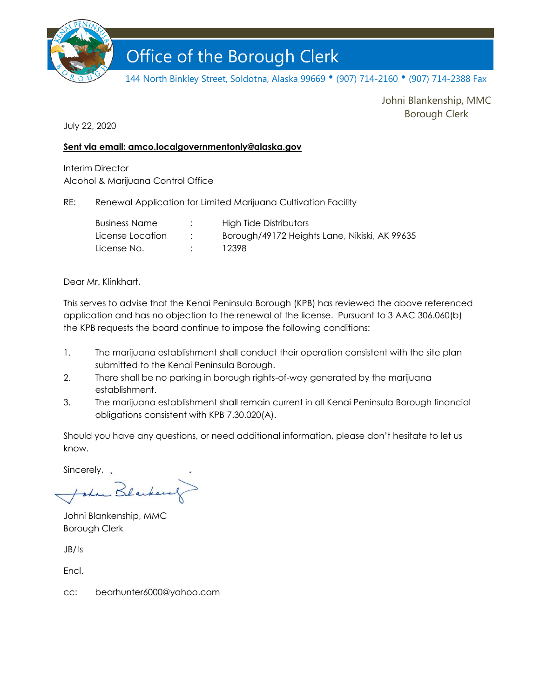

# Office of the Borough Clerk Office of the Borough Clerk

144 North Binkley Street, Soldotna, Alaska 99669 • (907) 714-2160 • (907) 714-2388 Fax

Johni Blankenship, MMC Borough Clerk

July 22, 2020

#### **Sent via email: amco.localgovernmentonly@alaska.gov**

Interim Director Alcohol & Marijuana Control Office

RE: Renewal Application for Limited Marijuana Cultivation Facility

| <b>Business Name</b> | High Tide Distributors                        |
|----------------------|-----------------------------------------------|
| License Location     | Borough/49172 Heights Lane, Nikiski, AK 99635 |
| License No.          | 12398                                         |

Dear Mr. Klinkhart,

This serves to advise that the Kenai Peninsula Borough (KPB) has reviewed the above referenced application and has no objection to the renewal of the license. Pursuant to 3 AAC 306.060(b) the KPB requests the board continue to impose the following conditions:

- 1. The marijuana establishment shall conduct their operation consistent with the site plan submitted to the Kenai Peninsula Borough.
- 2. There shall be no parking in borough rights-of-way generated by the marijuana establishment.
- 3. The marijuana establishment shall remain current in all Kenai Peninsula Borough financial obligations consistent with KPB 7.30.020(A).

Should you have any questions, or need additional information, please don't hesitate to let us know.

Sincerely, ,

Lu Blacke

Johni Blankenship, MMC Borough Clerk

JB/ts

**Encl.** 

cc: bearhunter6000@yahoo.com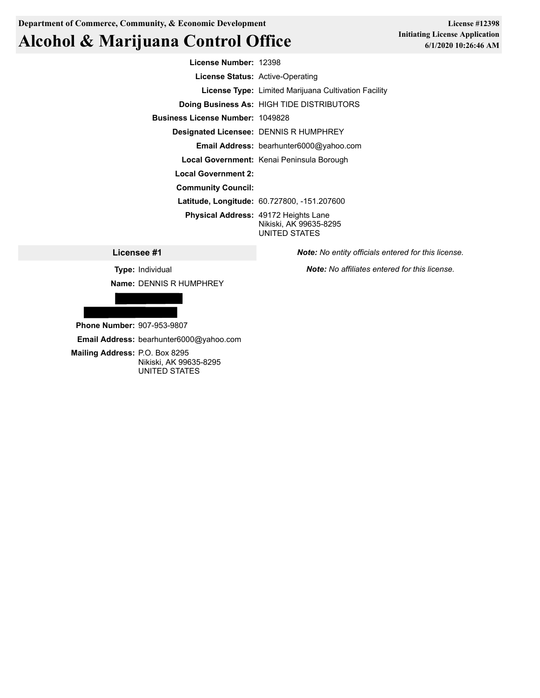**Department of Commerce, Community, & Economic Development**

## **Alcohol & Marijuana Control Office**

**License #12398 Initiating License Application 6/1/2020 10:26:46 AM**

**License Number:** 12398 **License Status:** Active-Operating **License Type:** Limited Marijuana Cultivation Facility **Doing Business As:** HIGH TIDE DISTRIBUTORS **Business License Number:** 1049828 **Designated Licensee:** DENNIS R HUMPHREY **Email Address:** bearhunter6000@yahoo.com **Local Government:** Kenai Peninsula Borough **Local Government 2: Community Council: Latitude, Longitude:** 60.727800, -151.207600 **Physical Address:** 49172 Heights Lane Nikiski, AK 99635-8295 UNITED STATES

**Licensee #1**

**Type:** Individual **Name:** DENNIS R HUMPHREY



**Phone Number:** 907-953-9807

**Email Address:** bearhunter6000@yahoo.com

**Mailing Address:** P.O. Box 8295 Nikiski, AK 99635-8295 UNITED STATES

*Note: No entity officials entered for this license.*

*Note: No affiliates entered for this license.*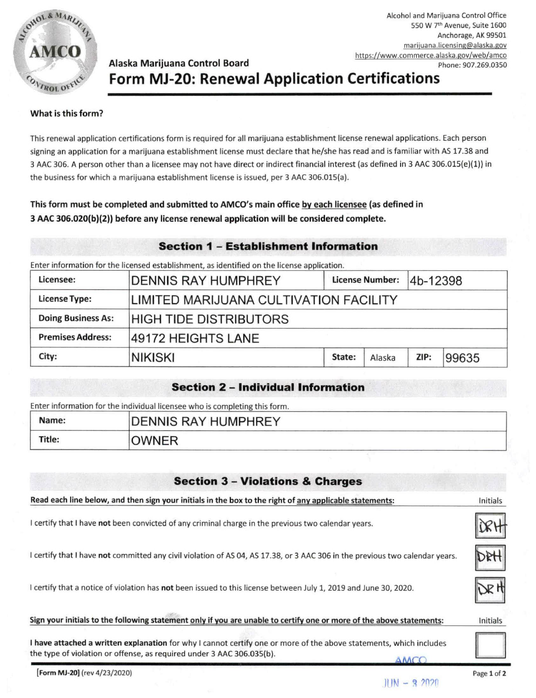

Alcohol and Marijuana Control Office 550 W 7th Avenue, Suite 1600 Anchorage, AK 99501 marijuana.licensing@alaska.gov https://www.commerce.alaska.gov/web/amco Phone: 907.269.0350

### Alaska Marijuana Control Board Form MJ-20: Renewal Application Certifications

#### What is this form?

This renewal application certifications form is required for all marijuana establishment license renewal applications. Each person signing an application for a marijuana establishment license must declare that he/she has read and is familiar with AS 17.38 and 3 AAC 306. A person other than a licensee may not have direct or indirect financial interest (as defined in 3 AAC 306.015(e)(1)) in the business for which a marijuana establishment license is issued, per 3 AAC 306.015(a).

#### This form must be completed and submitted to AMCO's main office by each licensee (as defined in 3 AAC 306.020(b)(2)) before any license renewal application will be considered complete.

#### **Section 1 - Establishment Information**

Enter information for the licensed establishment, as identified on the license application.

| Licensee:                 | DENNIS RAY HUMPHREY                    |        | <b>License Number:</b> | 4b-12398 |       |  |  |
|---------------------------|----------------------------------------|--------|------------------------|----------|-------|--|--|
| <b>License Type:</b>      | LIMITED MARIJUANA CULTIVATION FACILITY |        |                        |          |       |  |  |
| <b>Doing Business As:</b> | HIGH TIDE DISTRIBUTORS                 |        |                        |          |       |  |  |
| <b>Premises Address:</b>  | 49172 HEIGHTS LANE                     |        |                        |          |       |  |  |
| City:                     | <b>NIKISKI</b>                         | State: | Alaska                 | ZIP:     | 99635 |  |  |

#### **Section 2 - Individual Information**

Enter information for the individual licensee who is completing this form.

| Name:  | <b>DENNIS RAY HUMPHREY</b> |
|--------|----------------------------|
| Title: | <b>JWNER</b>               |

#### **Section 3 - Violations & Charges**

| Read each line below, and then sign your initials in the box to the right of any applicable statements:                                                                                             | Initials    |
|-----------------------------------------------------------------------------------------------------------------------------------------------------------------------------------------------------|-------------|
| I certify that I have not been convicted of any criminal charge in the previous two calendar years.                                                                                                 |             |
| I certify that I have not committed any civil violation of AS 04, AS 17.38, or 3 AAC 306 in the previous two calendar years.                                                                        |             |
| I certify that a notice of violation has not been issued to this license between July 1, 2019 and June 30, 2020.                                                                                    |             |
| Sign your initials to the following statement only if you are unable to certify one or more of the above statements:                                                                                | Initials    |
| I have attached a written explanation for why I cannot certify one or more of the above statements, which includes<br>the type of violation or offense, as required under 3 AAC 306.035(b).<br>AMCO |             |
| Form MJ-20] (rev 4/23/2020)                                                                                                                                                                         | Page 1 of 2 |

 $JIN - 9.2020$